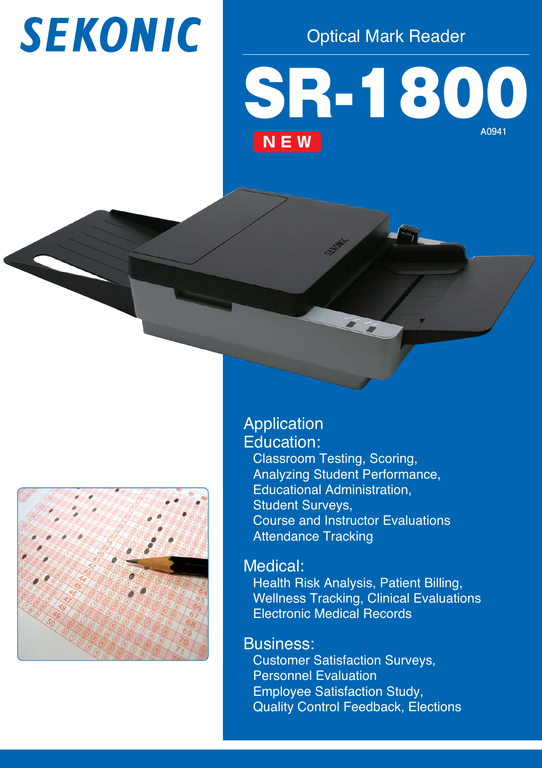# **SEKONIC**

Optical Mark Reader

# SR-1800 **A0941 NEW**



## Application Education:

Classroom Testing, Scoring, Analyzing Student Performance, Educational Administration, Student Surveys, Course and Instructor Evaluations **Attendance Tracking** 

### Medical:

Health Risk Analysis, Patient Billing, Wellness Tracking, Clinical Evaluations Electronic Medical Records

### Business:

Customer Satisfaction Surveys, Personnel Evaluation Employee Satisfaction Study, Quality Control Feedback, Elections